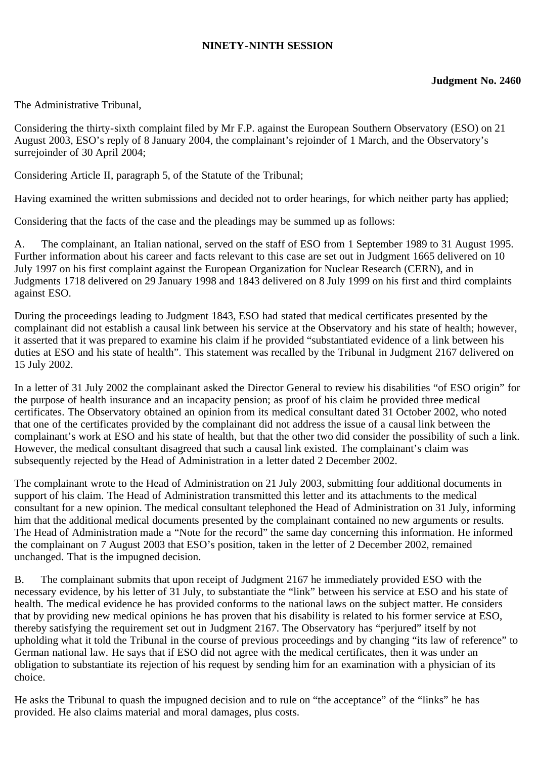## **NINETY-NINTH SESSION**

The Administrative Tribunal,

Considering the thirty-sixth complaint filed by Mr F.P. against the European Southern Observatory (ESO) on 21 August 2003, ESO's reply of 8 January 2004, the complainant's rejoinder of 1 March, and the Observatory's surrejoinder of 30 April 2004;

Considering Article II, paragraph 5, of the Statute of the Tribunal;

Having examined the written submissions and decided not to order hearings, for which neither party has applied;

Considering that the facts of the case and the pleadings may be summed up as follows:

A. The complainant, an Italian national, served on the staff of ESO from 1 September 1989 to 31 August 1995. Further information about his career and facts relevant to this case are set out in Judgment 1665 delivered on 10 July 1997 on his first complaint against the European Organization for Nuclear Research (CERN), and in Judgments 1718 delivered on 29 January 1998 and 1843 delivered on 8 July 1999 on his first and third complaints against ESO.

During the proceedings leading to Judgment 1843, ESO had stated that medical certificates presented by the complainant did not establish a causal link between his service at the Observatory and his state of health; however, it asserted that it was prepared to examine his claim if he provided "substantiated evidence of a link between his duties at ESO and his state of health". This statement was recalled by the Tribunal in Judgment 2167 delivered on 15 July 2002.

In a letter of 31 July 2002 the complainant asked the Director General to review his disabilities "of ESO origin" for the purpose of health insurance and an incapacity pension; as proof of his claim he provided three medical certificates. The Observatory obtained an opinion from its medical consultant dated 31 October 2002, who noted that one of the certificates provided by the complainant did not address the issue of a causal link between the complainant's work at ESO and his state of health, but that the other two did consider the possibility of such a link. However, the medical consultant disagreed that such a causal link existed. The complainant's claim was subsequently rejected by the Head of Administration in a letter dated 2 December 2002.

The complainant wrote to the Head of Administration on 21 July 2003, submitting four additional documents in support of his claim. The Head of Administration transmitted this letter and its attachments to the medical consultant for a new opinion. The medical consultant telephoned the Head of Administration on 31 July, informing him that the additional medical documents presented by the complainant contained no new arguments or results. The Head of Administration made a "Note for the record" the same day concerning this information. He informed the complainant on 7 August 2003 that ESO's position, taken in the letter of 2 December 2002, remained unchanged. That is the impugned decision.

B. The complainant submits that upon receipt of Judgment 2167 he immediately provided ESO with the necessary evidence, by his letter of 31 July, to substantiate the "link" between his service at ESO and his state of health. The medical evidence he has provided conforms to the national laws on the subject matter. He considers that by providing new medical opinions he has proven that his disability is related to his former service at ESO, thereby satisfying the requirement set out in Judgment 2167. The Observatory has "perjured" itself by not upholding what it told the Tribunal in the course of previous proceedings and by changing "its law of reference" to German national law. He says that if ESO did not agree with the medical certificates, then it was under an obligation to substantiate its rejection of his request by sending him for an examination with a physician of its choice.

He asks the Tribunal to quash the impugned decision and to rule on "the acceptance" of the "links" he has provided. He also claims material and moral damages, plus costs.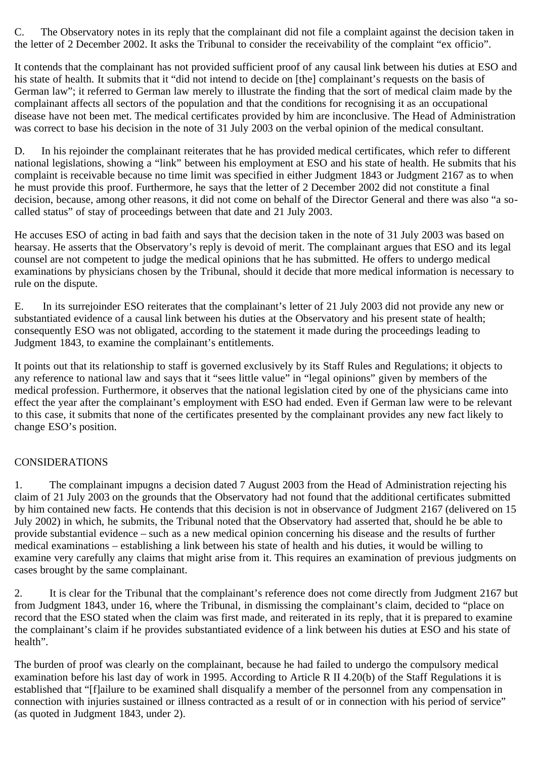C. The Observatory notes in its reply that the complainant did not file a complaint against the decision taken in the letter of 2 December 2002. It asks the Tribunal to consider the receivability of the complaint "ex officio".

It contends that the complainant has not provided sufficient proof of any causal link between his duties at ESO and his state of health. It submits that it "did not intend to decide on [the] complainant's requests on the basis of German law"; it referred to German law merely to illustrate the finding that the sort of medical claim made by the complainant affects all sectors of the population and that the conditions for recognising it as an occupational disease have not been met. The medical certificates provided by him are inconclusive. The Head of Administration was correct to base his decision in the note of 31 July 2003 on the verbal opinion of the medical consultant.

D. In his rejoinder the complainant reiterates that he has provided medical certificates, which refer to different national legislations, showing a "link" between his employment at ESO and his state of health. He submits that his complaint is receivable because no time limit was specified in either Judgment 1843 or Judgment 2167 as to when he must provide this proof. Furthermore, he says that the letter of 2 December 2002 did not constitute a final decision, because, among other reasons, it did not come on behalf of the Director General and there was also "a socalled status" of stay of proceedings between that date and 21 July 2003.

He accuses ESO of acting in bad faith and says that the decision taken in the note of 31 July 2003 was based on hearsay. He asserts that the Observatory's reply is devoid of merit. The complainant argues that ESO and its legal counsel are not competent to judge the medical opinions that he has submitted. He offers to undergo medical examinations by physicians chosen by the Tribunal, should it decide that more medical information is necessary to rule on the dispute.

E. In its surrejoinder ESO reiterates that the complainant's letter of 21 July 2003 did not provide any new or substantiated evidence of a causal link between his duties at the Observatory and his present state of health; consequently ESO was not obligated, according to the statement it made during the proceedings leading to Judgment 1843, to examine the complainant's entitlements.

It points out that its relationship to staff is governed exclusively by its Staff Rules and Regulations; it objects to any reference to national law and says that it "sees little value" in "legal opinions" given by members of the medical profession. Furthermore, it observes that the national legislation cited by one of the physicians came into effect the year after the complainant's employment with ESO had ended. Even if German law were to be relevant to this case, it submits that none of the certificates presented by the complainant provides any new fact likely to change ESO's position.

## CONSIDERATIONS

1. The complainant impugns a decision dated 7 August 2003 from the Head of Administration rejecting his claim of 21 July 2003 on the grounds that the Observatory had not found that the additional certificates submitted by him contained new facts. He contends that this decision is not in observance of Judgment 2167 (delivered on 15 July 2002) in which, he submits, the Tribunal noted that the Observatory had asserted that, should he be able to provide substantial evidence – such as a new medical opinion concerning his disease and the results of further medical examinations – establishing a link between his state of health and his duties, it would be willing to examine very carefully any claims that might arise from it. This requires an examination of previous judgments on cases brought by the same complainant.

2. It is clear for the Tribunal that the complainant's reference does not come directly from Judgment 2167 but from Judgment 1843, under 16, where the Tribunal, in dismissing the complainant's claim, decided to "place on record that the ESO stated when the claim was first made, and reiterated in its reply, that it is prepared to examine the complainant's claim if he provides substantiated evidence of a link between his duties at ESO and his state of health".

The burden of proof was clearly on the complainant, because he had failed to undergo the compulsory medical examination before his last day of work in 1995. According to Article R II 4.20(b) of the Staff Regulations it is established that "[f]ailure to be examined shall disqualify a member of the personnel from any compensation in connection with injuries sustained or illness contracted as a result of or in connection with his period of service" (as quoted in Judgment 1843, under 2).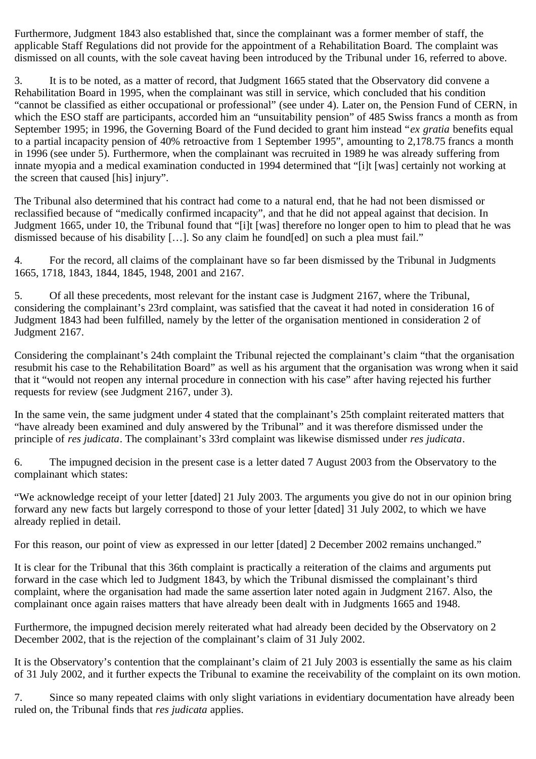Furthermore, Judgment 1843 also established that, since the complainant was a former member of staff, the applicable Staff Regulations did not provide for the appointment of a Rehabilitation Board. The complaint was dismissed on all counts, with the sole caveat having been introduced by the Tribunal under 16, referred to above.

3. It is to be noted, as a matter of record, that Judgment 1665 stated that the Observatory did convene a Rehabilitation Board in 1995, when the complainant was still in service, which concluded that his condition "cannot be classified as either occupational or professional" (see under 4). Later on, the Pension Fund of CERN, in which the ESO staff are participants, accorded him an "unsuitability pension" of 485 Swiss francs a month as from September 1995; in 1996, the Governing Board of the Fund decided to grant him instead "*ex gratia* benefits equal to a partial incapacity pension of 40% retroactive from 1 September 1995", amounting to 2,178.75 francs a month in 1996 (see under 5). Furthermore, when the complainant was recruited in 1989 he was already suffering from innate myopia and a medical examination conducted in 1994 determined that "[i]t [was] certainly not working at the screen that caused [his] injury".

The Tribunal also determined that his contract had come to a natural end, that he had not been dismissed or reclassified because of "medically confirmed incapacity", and that he did not appeal against that decision. In Judgment 1665, under 10, the Tribunal found that "[i]t [was] therefore no longer open to him to plead that he was dismissed because of his disability […]. So any claim he found[ed] on such a plea must fail."

4. For the record, all claims of the complainant have so far been dismissed by the Tribunal in Judgments 1665, 1718, 1843, 1844, 1845, 1948, 2001 and 2167.

5. Of all these precedents, most relevant for the instant case is Judgment 2167, where the Tribunal, considering the complainant's 23rd complaint, was satisfied that the caveat it had noted in consideration 16 of Judgment 1843 had been fulfilled, namely by the letter of the organisation mentioned in consideration 2 of Judgment 2167.

Considering the complainant's 24th complaint the Tribunal rejected the complainant's claim "that the organisation resubmit his case to the Rehabilitation Board" as well as his argument that the organisation was wrong when it said that it "would not reopen any internal procedure in connection with his case" after having rejected his further requests for review (see Judgment 2167, under 3).

In the same vein, the same judgment under 4 stated that the complainant's 25th complaint reiterated matters that "have already been examined and duly answered by the Tribunal" and it was therefore dismissed under the principle of *res judicata*. The complainant's 33rd complaint was likewise dismissed under *res judicata*.

6. The impugned decision in the present case is a letter dated 7 August 2003 from the Observatory to the complainant which states:

"We acknowledge receipt of your letter [dated] 21 July 2003. The arguments you give do not in our opinion bring forward any new facts but largely correspond to those of your letter [dated] 31 July 2002, to which we have already replied in detail.

For this reason, our point of view as expressed in our letter [dated] 2 December 2002 remains unchanged."

It is clear for the Tribunal that this 36th complaint is practically a reiteration of the claims and arguments put forward in the case which led to Judgment 1843, by which the Tribunal dismissed the complainant's third complaint, where the organisation had made the same assertion later noted again in Judgment 2167. Also, the complainant once again raises matters that have already been dealt with in Judgments 1665 and 1948.

Furthermore, the impugned decision merely reiterated what had already been decided by the Observatory on 2 December 2002, that is the rejection of the complainant's claim of 31 July 2002.

It is the Observatory's contention that the complainant's claim of 21 July 2003 is essentially the same as his claim of 31 July 2002, and it further expects the Tribunal to examine the receivability of the complaint on its own motion.

7. Since so many repeated claims with only slight variations in evidentiary documentation have already been ruled on, the Tribunal finds that *res judicata* applies.